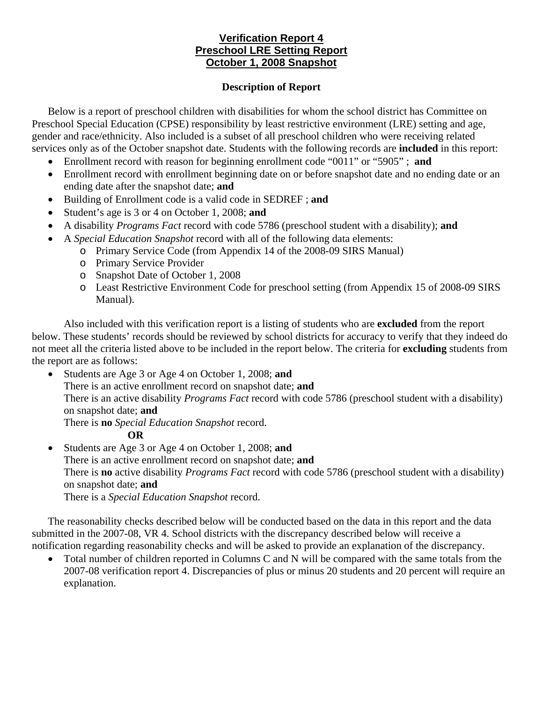## **Verification Report 4 Preschool LRE Setting Report October 1, 2008 Snapshot**

## **Description of Report**

Below is a report of preschool children with disabilities for whom the school district has Committee on Preschool Special Education (CPSE) responsibility by least restrictive environment (LRE) setting and age, gender and race/ethnicity. Also included is a subset of all preschool children who were receiving related services only as of the October snapshot date. Students with the following records are **included** in this report:

- Enrollment record with reason for beginning enrollment code "0011" or "5905" ; **and**
- Enrollment record with enrollment beginning date on or before snapshot date and no ending date or an ending date after the snapshot date; **and**
- Building of Enrollment code is a valid code in SEDREF ; **and**
- Student's age is 3 or 4 on October 1, 2008; **and**
- A disability *Programs Fact* record with code 5786 (preschool student with a disability); **and**
- A *Special Education Snapshot* record with all of the following data elements:
	- o Primary Service Code (from Appendix 14 of the 2008-09 SIRS Manual)
	- o Primary Service Provider
	- o Snapshot Date of October 1, 2008
	- o Least Restrictive Environment Code for preschool setting (from Appendix 15 of 2008-09 SIRS Manual).

Also included with this verification report is a listing of students who are **excluded** from the report below. These students' records should be reviewed by school districts for accuracy to verify that they indeed do not meet all the criteria listed above to be included in the report below. The criteria for **excluding** students from the report are as follows:

• Students are Age 3 or Age 4 on October 1, 2008; **and** There is an active enrollment record on snapshot date; **and**  There is an active disability *Programs Fact* record with code 5786 (preschool student with a disability) on snapshot date; **and** There is **no** *Special Education Snapshot* record.

## **OR**

• Students are Age 3 or Age 4 on October 1, 2008; **and** There is an active enrollment record on snapshot date; **and** There is **no** active disability *Programs Fact* record with code 5786 (preschool student with a disability) on snapshot date; **and**  There is a *Special Education Snapshot* record.

The reasonability checks described below will be conducted based on the data in this report and the data submitted in the 2007-08, VR 4. School districts with the discrepancy described below will receive a notification regarding reasonability checks and will be asked to provide an explanation of the discrepancy.

• Total number of children reported in Columns C and N will be compared with the same totals from the 2007-08 verification report 4. Discrepancies of plus or minus 20 students and 20 percent will require an explanation.